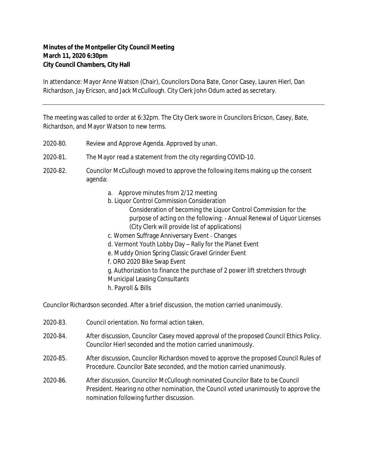## **Minutes of the Montpelier City Council Meeting March 11, 2020 6:30pm City Council Chambers, City Hall**

In attendance: Mayor Anne Watson (Chair), Councilors Dona Bate, Conor Casey, Lauren Hierl, Dan Richardson, Jay Ericson, and Jack McCullough. City Clerk John Odum acted as secretary.

The meeting was called to order at 6:32pm. The City Clerk swore in Councilors Ericson, Casey, Bate, Richardson, and Mayor Watson to new terms.

- 2020‐80. Review and Approve Agenda. Approved by unan.
- 2020‐81. The Mayor read a statement from the city regarding COVID-10.
- 2020‐82. Councilor McCullough moved to approve the following items making up the consent agenda:
	- a. Approve minutes from 2/12 meeting
	- b. Liquor Control Commission Consideration
		- Consideration of becoming the Liquor Control Commission for the purpose of acting on the following: ‐ Annual Renewal of Liquor Licenses (City Clerk will provide list of applications)
	- c. Women Suffrage Anniversary Event ‐ Changes
	- d. Vermont Youth Lobby Day Rally for the Planet Event
	- e. Muddy Onion Spring Classic Gravel Grinder Event
	- f. ORO 2020 Bike Swap Event
	- g. Authorization to finance the purchase of 2 power lift stretchers through Municipal Leasing Consultants
	- h. Payroll & Bills

Councilor Richardson seconded. After a brief discussion, the motion carried unanimously.

- 2020‐83. Council orientation. No formal action taken.
- 2020‐84. After discussion, Councilor Casey moved approval of the proposed Council Ethics Policy. Councilor Hierl seconded and the motion carried unanimously.
- 2020‐85. After discussion, Councilor Richardson moved to approve the proposed Council Rules of Procedure. Councilor Bate seconded, and the motion carried unanimously.
- 2020‐86. After discussion, Councilor McCullough nominated Councilor Bate to be Council President. Hearing no other nomination, the Council voted unanimously to approve the nomination following further discussion.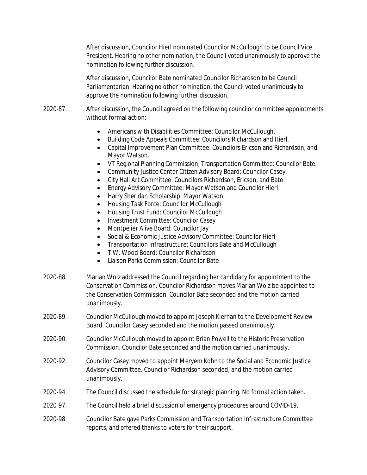After discussion, Councilor Hierl nominated Councilor McCullough to be Council Vice President. Hearing no other nomination, the Council voted unanimously to approve the nomination following further discussion.

After discussion, Councilor Bate nominated Councilor Richardson to be Council Parliamentarian. Hearing no other nomination, the Council voted unanimously to approve the nomination following further discussion.

- 2020-87. After discussion, the Council agreed on the following councilor committee appointments without formal action:
	- Americans with Disabilities Committee: Councilor McCullough.
	- Building Code Appeals Committee: Councilors Richardson and Hierl.
	- Capital Improvement Plan Committee: Councilors Ericson and Richardson, and Mayor Watson.
	- VT Regional Planning Commission, Transportation Committee: Councilor Bate.
	- Community Justice Center Citizen Advisory Board: Councilor Casey.
	- City Hall Art Committee: Councilors Richardson, Ericson, and Bate.
	- Energy Advisory Committee: Mayor Watson and Councilor Hierl.
	- Harry Sheridan Scholarship: Mayor Watson.
	- Housing Task Force: Councilor McCullough
	- Housing Trust Fund: Councilor McCullough
	- Investment Committee: Councilor Casey
	- Montpelier Alive Board: Councilor Jay
	- Social & Economic Justice Advisory Committee: Councilor Hierl
	- Transportation Infrastructure: Councilors Bate and McCullough
	- T.W. Wood Board: Councilor Richardson
	- Liaison Parks Commission: Councilor Bate
- 2020‐88. Marian Wolz addressed the Council regarding her candidacy for appointment to the Conservation Commission. Councilor Richardson moves Marian Wolz be appointed to the Conservation Commission. Councilor Bate seconded and the motion carried unanimously.
- 2020‐89. Councilor McCullough moved to appoint Joseph Kiernan to the Development Review Board. Councilor Casey seconded and the motion passed unanimously.
- 2020‐90. Councilor McCullough moved to appoint Brian Powell to the Historic Preservation Commission. Councilor Bate seconded and the motion carried unanimously.
- 2020‐92. Councilor Casey moved to appoint Meryem Kohn to the Social and Economic Justice Advisory Committee. Councilor Richardson seconded, and the motion carried unanimously.
- 2020‐94. The Council discussed the schedule for strategic planning. No formal action taken.
- 2020‐97. The Council held a brief discussion of emergency procedures around COVID-19.
- 2020‐98. Councilor Bate gave Parks Commission and Transportation Infrastructure Committee reports, and offered thanks to voters for their support.